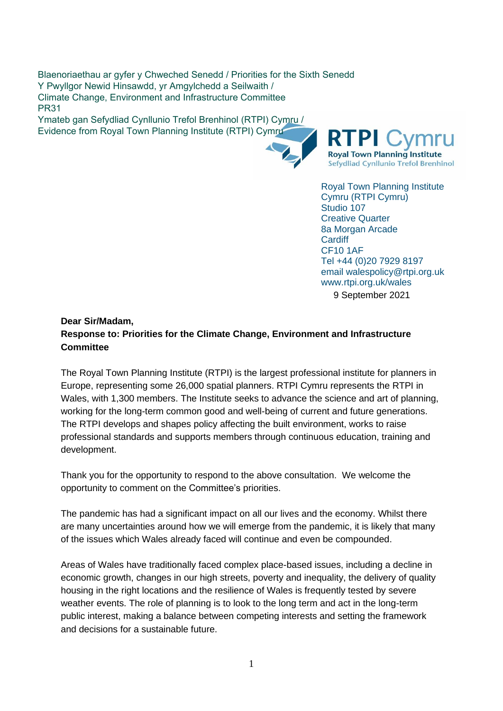Blaenoriaethau ar gyfer y Chweched Senedd / Priorities for the Sixth Senedd Y Pwyllgor Newid Hinsawdd, yr Amgylchedd a Seilwaith / Climate Change, Environment and Infrastructure Committee PR31

Ymateb gan Sefydliad Cynllunio Trefol Brenhinol (RTPI) Cymru / Evidence from Royal Town Planning Institute (RTPI) Cymru



**RTPI Royal Town Planning Institute** Sefydliad Cynllunio Trefol Brenhinol

Royal Town Planning Institute Cymru (RTPI Cymru) Studio 107 Creative Quarter 8a Morgan Arcade **Cardiff** CF10 1AF Tel +44 (0)20 7929 8197 email walespolicy@rtpi.org.uk www.rtpi.org.uk/wales

9 September 2021

# **Dear Sir/Madam, Response to: Priorities for the Climate Change, Environment and Infrastructure Committee**

The Royal Town Planning Institute (RTPI) is the largest professional institute for planners in Europe, representing some 26,000 spatial planners. RTPI Cymru represents the RTPI in Wales, with 1,300 members. The Institute seeks to advance the science and art of planning, working for the long-term common good and well-being of current and future generations. The RTPI develops and shapes policy affecting the built environment, works to raise professional standards and supports members through continuous education, training and development.

Thank you for the opportunity to respond to the above consultation. We welcome the opportunity to comment on the Committee's priorities.

The pandemic has had a significant impact on all our lives and the economy. Whilst there are many uncertainties around how we will emerge from the pandemic, it is likely that many of the issues which Wales already faced will continue and even be compounded.

Areas of Wales have traditionally faced complex place-based issues, including a decline in economic growth, changes in our high streets, poverty and inequality, the delivery of quality housing in the right locations and the resilience of Wales is frequently tested by severe weather events. The role of planning is to look to the long term and act in the long-term public interest, making a balance between competing interests and setting the framework and decisions for a sustainable future.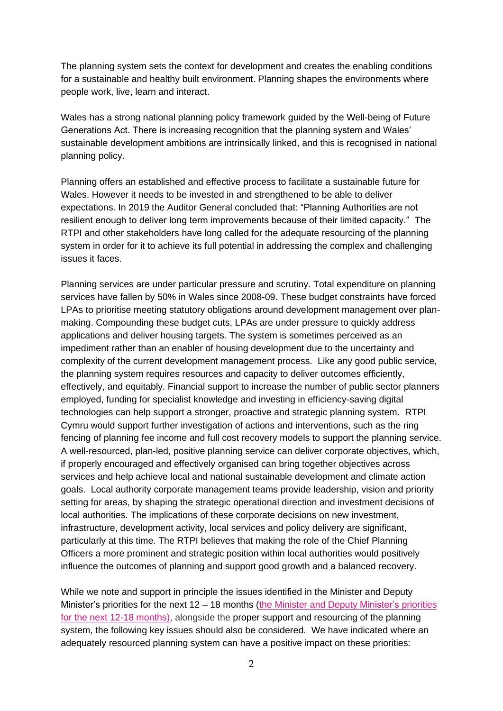The planning system sets the context for development and creates the enabling conditions for a sustainable and healthy built environment. Planning shapes the environments where people work, live, learn and interact.

Wales has a strong national planning policy framework guided by the Well-being of Future Generations Act. There is increasing recognition that the planning system and Wales' sustainable development ambitions are intrinsically linked, and this is recognised in national planning policy.

Planning offers an established and effective process to facilitate a sustainable future for Wales. However it needs to be invested in and strengthened to be able to deliver expectations. In 2019 the Auditor General concluded that: "Planning Authorities are not resilient enough to deliver long term improvements because of their limited capacity." The RTPI and other stakeholders have long called for the adequate resourcing of the planning system in order for it to achieve its full potential in addressing the complex and challenging issues it faces.

Planning services are under particular pressure and scrutiny. Total expenditure on planning services have fallen by 50% in Wales since 2008-09. These budget constraints have forced LPAs to prioritise meeting statutory obligations around development management over planmaking. Compounding these budget cuts, LPAs are under pressure to quickly address applications and deliver housing targets. The system is sometimes perceived as an impediment rather than an enabler of housing development due to the uncertainty and complexity of the current development management process. Like any good public service, the planning system requires resources and capacity to deliver outcomes efficiently, effectively, and equitably. Financial support to increase the number of public sector planners employed, funding for specialist knowledge and investing in efficiency-saving digital technologies can help support a stronger, proactive and strategic planning system. RTPI Cymru would support further investigation of actions and interventions, such as the ring fencing of planning fee income and full cost recovery models to support the planning service. A well-resourced, plan-led, positive planning service can deliver corporate objectives, which, if properly encouraged and effectively organised can bring together objectives across services and help achieve local and national sustainable development and climate action goals. Local authority corporate management teams provide leadership, vision and priority setting for areas, by shaping the strategic operational direction and investment decisions of local authorities. The implications of these corporate decisions on new investment, infrastructure, development activity, local services and policy delivery are significant, particularly at this time. The RTPI believes that making the role of the Chief Planning Officers a more prominent and strategic position within local authorities would positively influence the outcomes of planning and support good growth and a balanced recovery.

While we note and support in principle the issues identified in the Minister and Deputy Minister's priorities for the next 12 – 18 months (the Minister and Deputy [Minister's](https://business.senedd.wales/documents/s116925/Letter%20from%20the%20Minister%20and%20Deputy%20Minister%20for%20Climate%20Change%20on%20the%20Welsh%20Governments%20priorities.pdf) priorities for the next 12-18 [months\)](https://business.senedd.wales/documents/s116925/Letter%20from%20the%20Minister%20and%20Deputy%20Minister%20for%20Climate%20Change%20on%20the%20Welsh%20Governments%20priorities.pdf), alongside the proper support and resourcing of the planning system, the following key issues should also be considered. We have indicated where an adequately resourced planning system can have a positive impact on these priorities: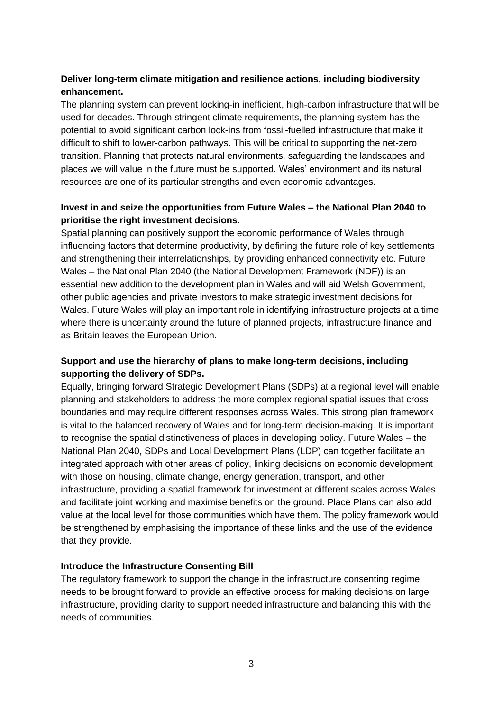# **Deliver long-term climate mitigation and resilience actions, including biodiversity enhancement.**

The planning system can prevent locking-in inefficient, high-carbon infrastructure that will be used for decades. Through stringent climate requirements, the planning system has the potential to avoid significant carbon lock-ins from fossil-fuelled infrastructure that make it difficult to shift to lower-carbon pathways. This will be critical to supporting the net-zero transition. Planning that protects natural environments, safeguarding the landscapes and places we will value in the future must be supported. Wales' environment and its natural resources are one of its particular strengths and even economic advantages.

## **Invest in and seize the opportunities from Future Wales – the National Plan 2040 to prioritise the right investment decisions.**

Spatial planning can positively support the economic performance of Wales through influencing factors that determine productivity, by defining the future role of key settlements and strengthening their interrelationships, by providing enhanced connectivity etc. Future Wales – the National Plan 2040 (the National Development Framework (NDF)) is an essential new addition to the development plan in Wales and will aid Welsh Government, other public agencies and private investors to make strategic investment decisions for Wales. Future Wales will play an important role in identifying infrastructure projects at a time where there is uncertainty around the future of planned projects, infrastructure finance and as Britain leaves the European Union.

## **Support and use the hierarchy of plans to make long-term decisions, including supporting the delivery of SDPs.**

Equally, bringing forward Strategic Development Plans (SDPs) at a regional level will enable planning and stakeholders to address the more complex regional spatial issues that cross boundaries and may require different responses across Wales. This strong plan framework is vital to the balanced recovery of Wales and for long-term decision-making. It is important to recognise the spatial distinctiveness of places in developing policy. Future Wales – the National Plan 2040, SDPs and Local Development Plans (LDP) can together facilitate an integrated approach with other areas of policy, linking decisions on economic development with those on housing, climate change, energy generation, transport, and other infrastructure, providing a spatial framework for investment at different scales across Wales and facilitate joint working and maximise benefits on the ground. Place Plans can also add value at the local level for those communities which have them. The policy framework would be strengthened by emphasising the importance of these links and the use of the evidence that they provide.

## **Introduce the Infrastructure Consenting Bill**

The regulatory framework to support the change in the infrastructure consenting regime needs to be brought forward to provide an effective process for making decisions on large infrastructure, providing clarity to support needed infrastructure and balancing this with the needs of communities.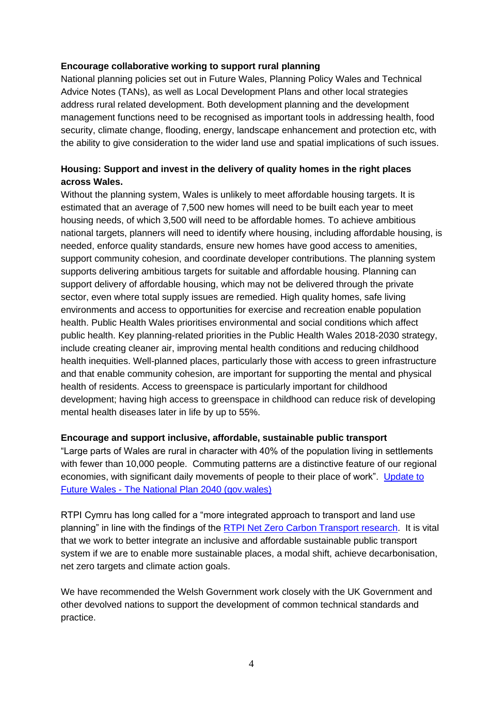#### **Encourage collaborative working to support rural planning**

National planning policies set out in Future Wales, Planning Policy Wales and Technical Advice Notes (TANs), as well as Local Development Plans and other local strategies address rural related development. Both development planning and the development management functions need to be recognised as important tools in addressing health, food security, climate change, flooding, energy, landscape enhancement and protection etc, with the ability to give consideration to the wider land use and spatial implications of such issues.

# **Housing: Support and invest in the delivery of quality homes in the right places across Wales.**

Without the planning system, Wales is unlikely to meet affordable housing targets. It is estimated that an average of 7,500 new homes will need to be built each year to meet housing needs, of which 3,500 will need to be affordable homes. To achieve ambitious national targets, planners will need to identify where housing, including affordable housing, is needed, enforce quality standards, ensure new homes have good access to amenities, support community cohesion, and coordinate developer contributions. The planning system supports delivering ambitious targets for suitable and affordable housing. Planning can support delivery of affordable housing, which may not be delivered through the private sector, even where total supply issues are remedied. High quality homes, safe living environments and access to opportunities for exercise and recreation enable population health. Public Health Wales prioritises environmental and social conditions which affect public health. Key planning-related priorities in the Public Health Wales 2018-2030 strategy, include creating cleaner air, improving mental health conditions and reducing childhood health inequities. Well-planned places, particularly those with access to green infrastructure and that enable community cohesion, are important for supporting the mental and physical health of residents. Access to greenspace is particularly important for childhood development; having high access to greenspace in childhood can reduce risk of developing mental health diseases later in life by up to 55%.

#### **Encourage and support inclusive, affordable, sustainable public transport**

"Large parts of Wales are rural in character with 40% of the population living in settlements with fewer than 10,000 people. Commuting patterns are a distinctive feature of our regional economies, with significant daily movements of people to their place of work". [Update to](https://gov.wales/sites/default/files/publications/2021-02/future-wales-the-national-plan-2040.pdf)  Future Wales - [The National Plan 2040 \(gov.wales\)](https://gov.wales/sites/default/files/publications/2021-02/future-wales-the-national-plan-2040.pdf)

RTPI Cymru has long called for a "more integrated approach to transport and land use planning" in line with the findings of the [RTPI Net Zero Carbon Transport research.](https://www.rtpi.org.uk/research/2020/june/net-zero-transport-the-role-of-spatial-planning%20and-place-based-solutions/) It is vital that we work to better integrate an inclusive and affordable sustainable public transport system if we are to enable more sustainable places, a modal shift, achieve decarbonisation, net zero targets and climate action goals.

We have recommended the Welsh Government work closely with the UK Government and other devolved nations to support the development of common technical standards and practice.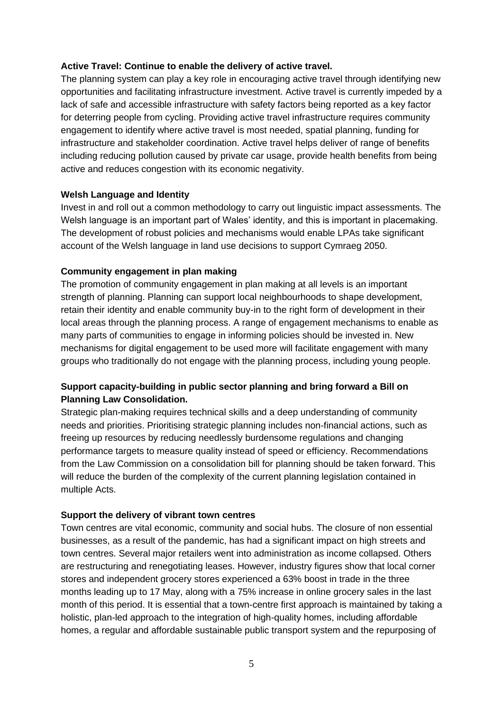#### **Active Travel: Continue to enable the delivery of active travel.**

The planning system can play a key role in encouraging active travel through identifying new opportunities and facilitating infrastructure investment. Active travel is currently impeded by a lack of safe and accessible infrastructure with safety factors being reported as a key factor for deterring people from cycling. Providing active travel infrastructure requires community engagement to identify where active travel is most needed, spatial planning, funding for infrastructure and stakeholder coordination. Active travel helps deliver of range of benefits including reducing pollution caused by private car usage, provide health benefits from being active and reduces congestion with its economic negativity.

#### **Welsh Language and Identity**

Invest in and roll out a common methodology to carry out linguistic impact assessments. The Welsh language is an important part of Wales' identity, and this is important in placemaking. The development of robust policies and mechanisms would enable LPAs take significant account of the Welsh language in land use decisions to support Cymraeg 2050.

## **Community engagement in plan making**

The promotion of community engagement in plan making at all levels is an important strength of planning. Planning can support local neighbourhoods to shape development, retain their identity and enable community buy-in to the right form of development in their local areas through the planning process. A range of engagement mechanisms to enable as many parts of communities to engage in informing policies should be invested in. New mechanisms for digital engagement to be used more will facilitate engagement with many groups who traditionally do not engage with the planning process, including young people.

## **Support capacity-building in public sector planning and bring forward a Bill on Planning Law Consolidation.**

Strategic plan-making requires technical skills and a deep understanding of community needs and priorities. Prioritising strategic planning includes non-financial actions, such as freeing up resources by reducing needlessly burdensome regulations and changing performance targets to measure quality instead of speed or efficiency. Recommendations from the Law Commission on a consolidation bill for planning should be taken forward. This will reduce the burden of the complexity of the current planning legislation contained in multiple Acts.

#### **Support the delivery of vibrant town centres**

Town centres are vital economic, community and social hubs. The closure of non essential businesses, as a result of the pandemic, has had a significant impact on high streets and town centres. Several major retailers went into administration as income collapsed. Others are restructuring and renegotiating leases. However, industry figures show that local corner stores and independent grocery stores experienced a 63% boost in trade in the three months leading up to 17 May, along with a 75% increase in online grocery sales in the last month of this period. It is essential that a town-centre first approach is maintained by taking a holistic, plan-led approach to the integration of high-quality homes, including affordable homes, a regular and affordable sustainable public transport system and the repurposing of